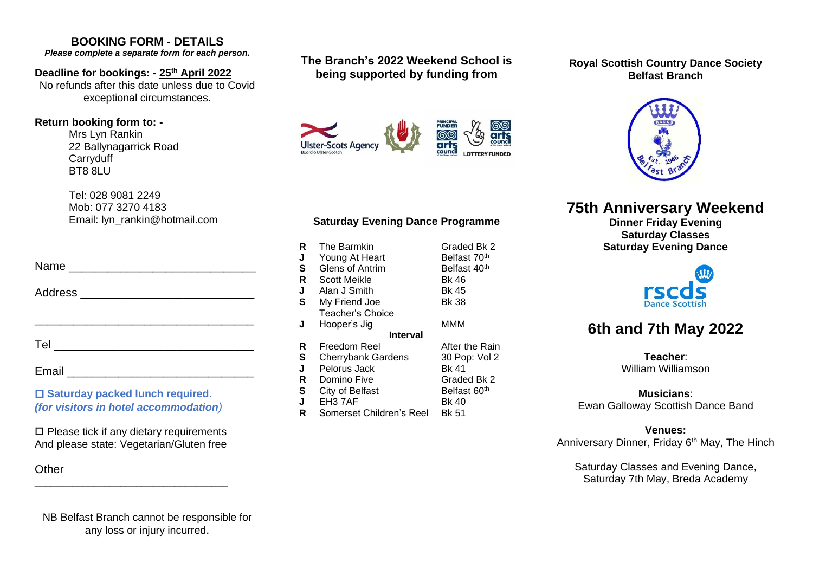# **BOOKING FORM - DETAILS**

*Please complete a separate form for each person.*

#### **Deadline for bookings: - 25th April 2022**

No refunds after this date unless due to Covid exceptional circumstances.

#### **Return booking form to: -**

Mrs Lyn Rankin 22 Ballynagarrick Road **Carryduff** BT8 8LU

Tel: 028 9081 2249 Mob: 077 3270 4183 Email: lyn\_rankin@hotmail.com

| Name                                                                       |
|----------------------------------------------------------------------------|
| Address ______________________                                             |
|                                                                            |
|                                                                            |
|                                                                            |
| □ Saturday packed lunch required.<br>(for visitors in hotel accommodation) |

 $\square$  Please tick if any dietary requirements And please state: Vegetarian/Gluten free

\_\_\_\_\_\_\_\_\_\_\_\_\_\_\_\_\_\_\_\_\_\_\_\_\_\_\_\_\_\_\_\_\_\_\_\_

**Other** 

# **The Branch's 2022 Weekend School is being supported by funding from**



# **Saturday Evening Dance Programme**

| R<br>J<br>S<br>R | The Barmkin<br>Young At Heart<br>Glens of Antrim<br>Scott Meikle | Graded Bk 2<br>Belfast 70 <sup>th</sup><br>Belfast 40 <sup>th</sup><br><b>Bk 46</b> |  |  |  |  |
|------------------|------------------------------------------------------------------|-------------------------------------------------------------------------------------|--|--|--|--|
| J                | Alan J Smith                                                     | Bk 45                                                                               |  |  |  |  |
| S                | My Friend Joe                                                    | <b>Bk 38</b>                                                                        |  |  |  |  |
|                  | Teacher's Choice                                                 |                                                                                     |  |  |  |  |
| J                | Hooper's Jig                                                     | МММ                                                                                 |  |  |  |  |
| <b>Interval</b>  |                                                                  |                                                                                     |  |  |  |  |
| R                | Freedom Reel                                                     | After the Rain                                                                      |  |  |  |  |
| S                | <b>Cherrybank Gardens</b>                                        | 30 Pop: Vol 2                                                                       |  |  |  |  |
| J                | Pelorus Jack                                                     | Bk 41                                                                               |  |  |  |  |
| R                | Domino Five                                                      | Graded Bk 2                                                                         |  |  |  |  |
| S                | City of Belfast                                                  | Belfast 60 <sup>th</sup>                                                            |  |  |  |  |
| J                | EH <sub>3</sub> 7AF                                              | Bk 40                                                                               |  |  |  |  |
| R                | Somerset Children's Reel                                         | Bk 51                                                                               |  |  |  |  |

#### **Royal Scottish Country Dance Society Belfast Branch**



# **75th Anniversary Weekend**

**Dinner Friday Evening Saturday Classes Saturday Evening Dance**



# **6th and 7th May 2022**

**Teacher**: William Williamson

## **Musicians**:

Ewan Galloway Scottish Dance Band

#### **Venues:**

Anniversary Dinner, Friday 6<sup>th</sup> May, The Hinch

Saturday Classes and Evening Dance, Saturday 7th May, Breda Academy

NB Belfast Branch cannot be responsible for any loss or injury incurred.